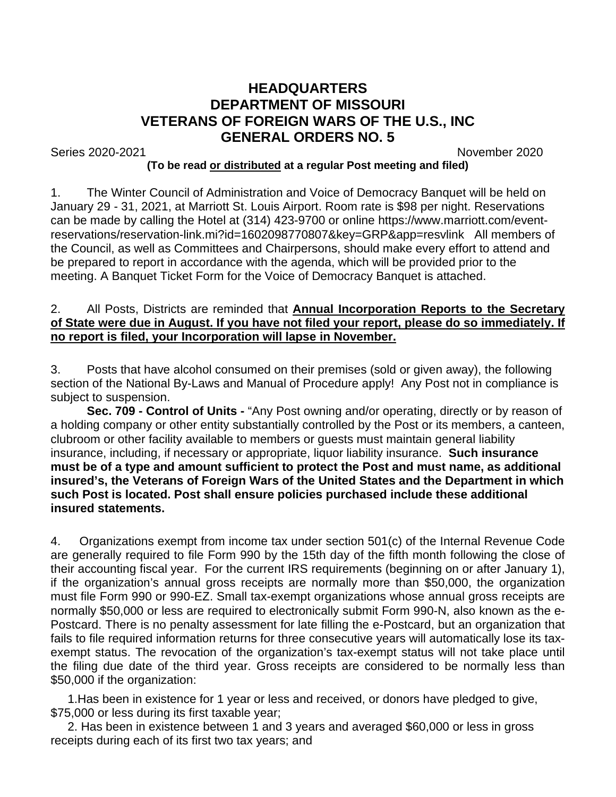## **HEADQUARTERS DEPARTMENT OF MISSOURI VETERANS OF FOREIGN WARS OF THE U.S., INC GENERAL ORDERS NO. 5**

Series 2020-2021 November 2020

## **(To be read or distributed at a regular Post meeting and filed)**

1. The Winter Council of Administration and Voice of Democracy Banquet will be held on January 29 - 31, 2021, at Marriott St. Louis Airport. Room rate is \$98 per night. Reservations can be made by calling the Hotel at (314) 423-9700 or online https://www.marriott.com/eventreservations/reservation-link.mi?id=1602098770807&key=GRP&app=resvlink All members of the Council, as well as Committees and Chairpersons, should make every effort to attend and be prepared to report in accordance with the agenda, which will be provided prior to the meeting. A Banquet Ticket Form for the Voice of Democracy Banquet is attached.

## 2. All Posts, Districts are reminded that **Annual Incorporation Reports to the Secretary of State were due in August. If you have not filed your report, please do so immediately. If no report is filed, your Incorporation will lapse in November.**

3. Posts that have alcohol consumed on their premises (sold or given away), the following section of the National By-Laws and Manual of Procedure apply! Any Post not in compliance is subject to suspension.

**Sec. 709 - Control of Units -** "Any Post owning and/or operating, directly or by reason of a holding company or other entity substantially controlled by the Post or its members, a canteen, clubroom or other facility available to members or guests must maintain general liability insurance, including, if necessary or appropriate, liquor liability insurance. **Such insurance must be of a type and amount sufficient to protect the Post and must name, as additional insured's, the Veterans of Foreign Wars of the United States and the Department in which such Post is located. Post shall ensure policies purchased include these additional insured statements.**

4. Organizations exempt from income tax under section 501(c) of the Internal Revenue Code are generally required to file Form 990 by the 15th day of the fifth month following the close of their accounting fiscal year. For the current IRS requirements (beginning on or after January 1), if the organization's annual gross receipts are normally more than \$50,000, the organization must file Form 990 or 990-EZ. Small tax-exempt organizations whose annual gross receipts are normally \$50,000 or less are required to electronically submit Form 990-N, also known as the e-Postcard. There is no penalty assessment for late filling the e-Postcard, but an organization that fails to file required information returns for three consecutive years will automatically lose its taxexempt status. The revocation of the organization's tax-exempt status will not take place until the filing due date of the third year. Gross receipts are considered to be normally less than \$50,000 if the organization:

 1.Has been in existence for 1 year or less and received, or donors have pledged to give, \$75,000 or less during its first taxable year;

 2. Has been in existence between 1 and 3 years and averaged \$60,000 or less in gross receipts during each of its first two tax years; and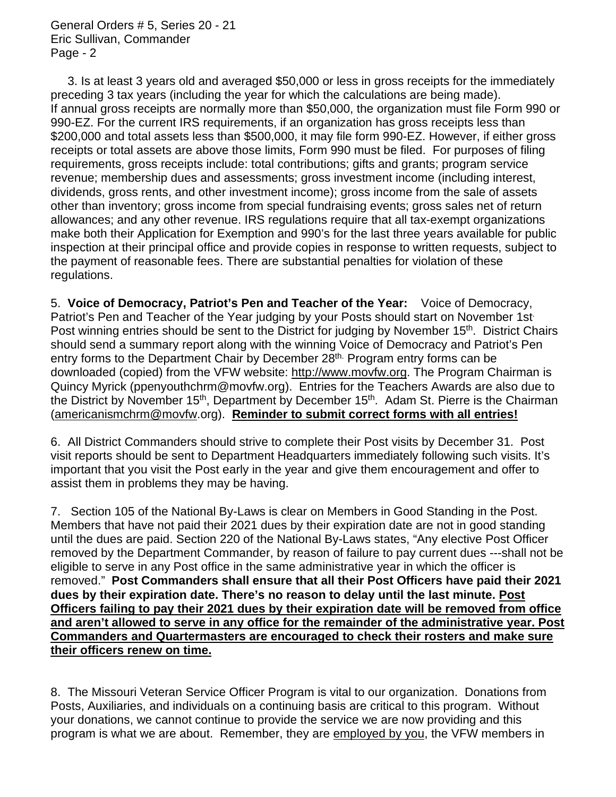General Orders # 5, Series 20 - 21 Eric Sullivan, Commander Page - 2

 3. Is at least 3 years old and averaged \$50,000 or less in gross receipts for the immediately preceding 3 tax years (including the year for which the calculations are being made). If annual gross receipts are normally more than \$50,000, the organization must file Form 990 or 990-EZ. For the current IRS requirements, if an organization has gross receipts less than \$200,000 and total assets less than \$500,000, it may file form 990-EZ. However, if either gross receipts or total assets are above those limits, Form 990 must be filed. For purposes of filing requirements, gross receipts include: total contributions; gifts and grants; program service revenue; membership dues and assessments; gross investment income (including interest, dividends, gross rents, and other investment income); gross income from the sale of assets other than inventory; gross income from special fundraising events; gross sales net of return allowances; and any other revenue. IRS regulations require that all tax-exempt organizations make both their Application for Exemption and 990's for the last three years available for public inspection at their principal office and provide copies in response to written requests, subject to the payment of reasonable fees. There are substantial penalties for violation of these regulations.

5. **Voice of Democracy, Patriot's Pen and Teacher of the Year:** Voice of Democracy, Patriot's Pen and Teacher of the Year judging by your Posts should start on November 1st Post winning entries should be sent to the District for judging by November 15<sup>th</sup>. District Chairs should send a summary report along with the winning Voice of Democracy and Patriot's Pen entry forms to the Department Chair by December 28<sup>th.</sup> Program entry forms can be downloaded (copied) from the VFW website: [http://www.movfw.org.](http://www.movfw.org/) The Program Chairman is Quincy Myrick (ppenyouthchrm@movfw.org). Entries for the Teachers Awards are also due to the District by November 15<sup>th</sup>, Department by December 15<sup>th</sup>. Adam St. Pierre is the Chairman [\(americanismchrm@movfw.](mailto:americanismchrm@movfw)org). **Reminder to submit correct forms with all entries!**

6. All District Commanders should strive to complete their Post visits by December 31. Post visit reports should be sent to Department Headquarters immediately following such visits. It's important that you visit the Post early in the year and give them encouragement and offer to assist them in problems they may be having.

7. Section 105 of the National By-Laws is clear on Members in Good Standing in the Post. Members that have not paid their 2021 dues by their expiration date are not in good standing until the dues are paid. Section 220 of the National By-Laws states, "Any elective Post Officer removed by the Department Commander, by reason of failure to pay current dues ---shall not be eligible to serve in any Post office in the same administrative year in which the officer is removed." **Post Commanders shall ensure that all their Post Officers have paid their 2021 dues by their expiration date. There's no reason to delay until the last minute. Post Officers failing to pay their 2021 dues by their expiration date will be removed from office and aren't allowed to serve in any office for the remainder of the administrative year. Post Commanders and Quartermasters are encouraged to check their rosters and make sure their officers renew on time.**

8. The Missouri Veteran Service Officer Program is vital to our organization. Donations from Posts, Auxiliaries, and individuals on a continuing basis are critical to this program. Without your donations, we cannot continue to provide the service we are now providing and this program is what we are about. Remember, they are employed by you, the VFW members in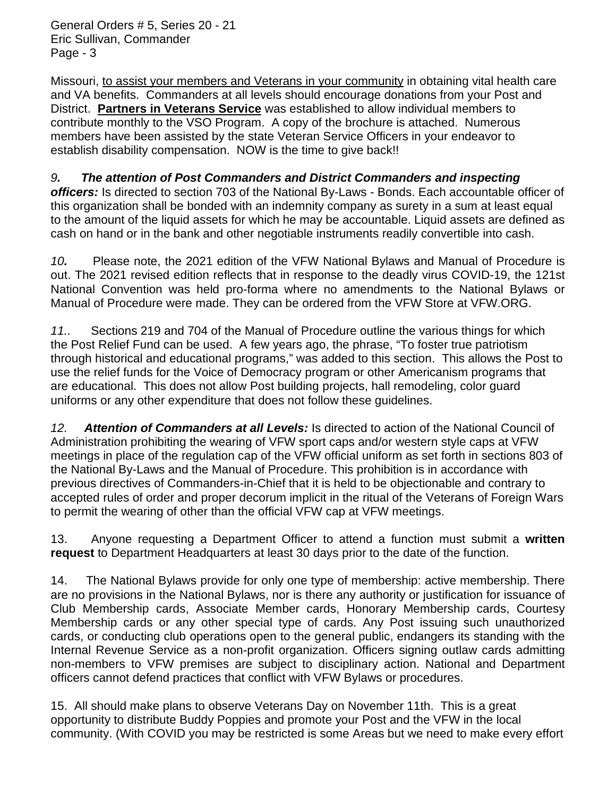General Orders # 5, Series 20 - 21 Eric Sullivan, Commander Page - 3

Missouri, to assist your members and Veterans in your community in obtaining vital health care and VA benefits. Commanders at all levels should encourage donations from your Post and District. **Partners in Veterans Service** was established to allow individual members to contribute monthly to the VSO Program. A copy of the brochure is attached. Numerous members have been assisted by the state Veteran Service Officers in your endeavor to establish disability compensation. NOW is the time to give back!!

## *9. The attention of Post Commanders and District Commanders and inspecting*

*officers:* Is directed to section 703 of the National By-Laws - Bonds. Each accountable officer of this organization shall be bonded with an indemnity company as surety in a sum at least equal to the amount of the liquid assets for which he may be accountable. Liquid assets are defined as cash on hand or in the bank and other negotiable instruments readily convertible into cash.

*10.* Please note, the 2021 edition of the VFW National Bylaws and Manual of Procedure is out. The 2021 revised edition reflects that in response to the deadly virus COVID-19, the 121st National Convention was held pro-forma where no amendments to the National Bylaws or Manual of Procedure were made. They can be ordered from the VFW Store at VFW.ORG.

*11..* Sections 219 and 704 of the Manual of Procedure outline the various things for which the Post Relief Fund can be used. A few years ago, the phrase, "To foster true patriotism through historical and educational programs," was added to this section. This allows the Post to use the relief funds for the Voice of Democracy program or other Americanism programs that are educational. This does not allow Post building projects, hall remodeling, color guard uniforms or any other expenditure that does not follow these guidelines.

*12. Attention of Commanders at all Levels:* Is directed to action of the National Council of Administration prohibiting the wearing of VFW sport caps and/or western style caps at VFW meetings in place of the regulation cap of the VFW official uniform as set forth in sections 803 of the National By-Laws and the Manual of Procedure. This prohibition is in accordance with previous directives of Commanders-in-Chief that it is held to be objectionable and contrary to accepted rules of order and proper decorum implicit in the ritual of the Veterans of Foreign Wars to permit the wearing of other than the official VFW cap at VFW meetings.

13. Anyone requesting a Department Officer to attend a function must submit a **written request** to Department Headquarters at least 30 days prior to the date of the function.

14. The National Bylaws provide for only one type of membership: active membership. There are no provisions in the National Bylaws, nor is there any authority or justification for issuance of Club Membership cards, Associate Member cards, Honorary Membership cards, Courtesy Membership cards or any other special type of cards. Any Post issuing such unauthorized cards, or conducting club operations open to the general public, endangers its standing with the Internal Revenue Service as a non-profit organization. Officers signing outlaw cards admitting non-members to VFW premises are subject to disciplinary action. National and Department officers cannot defend practices that conflict with VFW Bylaws or procedures.

15. All should make plans to observe Veterans Day on November 11th. This is a great opportunity to distribute Buddy Poppies and promote your Post and the VFW in the local community. (With COVID you may be restricted is some Areas but we need to make every effort